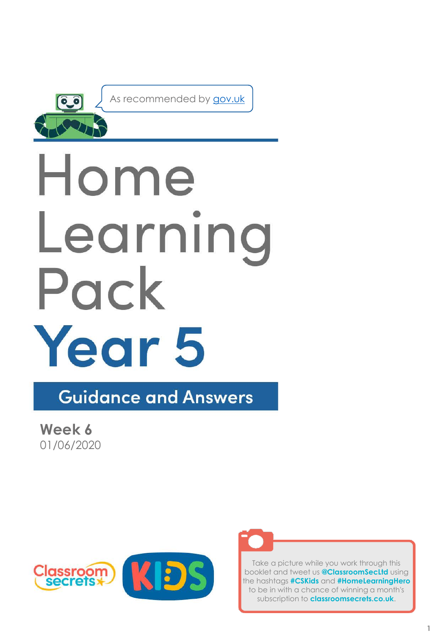

As recommended by [gov.uk](https://www.gov.uk/government/publications/coronavirus-covid-19-online-education-resources/coronavirus-covid-19-list-of-online-education-resources-for-home-education?)

# Home Learning Pack Year 5

**Guidance and Answers** 

**Week 6** 01/06/2020





Take a picture while you work through this booklet and tweet us **@ClassroomSecLtd** using the hashtags **#CSKids** and **#HomeLearningHero** to be in with a chance of winning a month's subscription to **classroomsecrets.co.uk**.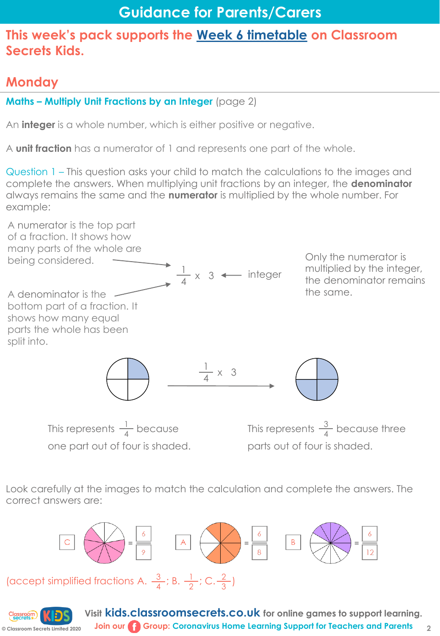# **Monday**

## **Maths – Multiply Unit Fractions by an Integer** (page 2)

An **integer** is a whole number, which is either positive or negative.

A **unit fraction** has a numerator of 1 and represents one part of the whole.

Question 1 – This question asks your child to match the calculations to the images and complete the answers. When multiplying unit fractions by an integer, the **denominator**  always remains the same and the **numerator** is multiplied by the whole number. For example:



one part out of four is shaded.

parts out of four is shaded.

Look carefully at the images to match the calculation and complete the answers. The correct answers are:





**Visit kids.classroomsecrets.co.uk for online games to support learning. Join our Group: Coronavirus Home Learning Support for Teachers and Parents**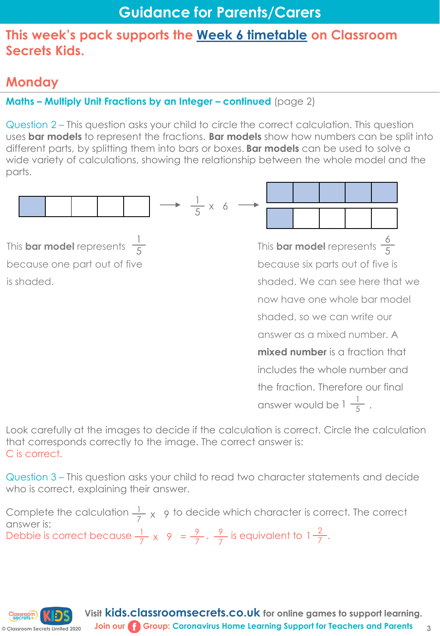# **Monday**

**© Classroom Secrets Limited 2020**

## **Maths – Multiply Unit Fractions by an Integer – continued (page 2)**

Question 2 – This question asks your child to circle the correct calculation. This question uses **bar models** to represent the fractions. **Bar models** show how numbers can be split into different parts, by splitting them into bars or boxes. **Bar models** can be used to solve a wide variety of calculations, showing the relationship between the whole model and the parts.



Look carefully at the images to decide if the calculation is correct. Circle the calculation that corresponds correctly to the image. The correct answer is: C is correct.

Question 3 – This question asks your child to read two character statements and decide who is correct, explaining their answer.

Complete the calculation  $\frac{1}{7}$  x 9 to decide which character is correct. The correct answer is: Debbie is correct because  $\frac{1}{7} \times 9 = \frac{9}{7} \cdot \frac{9}{7}$  is equivalent to  $1\frac{2}{7}$ .  $\frac{9}{7}$  is equivalent to 1  $\frac{2}{7}$ 7  $\frac{1}{7}$  x 9 =  $\frac{9}{7}$ 7 7

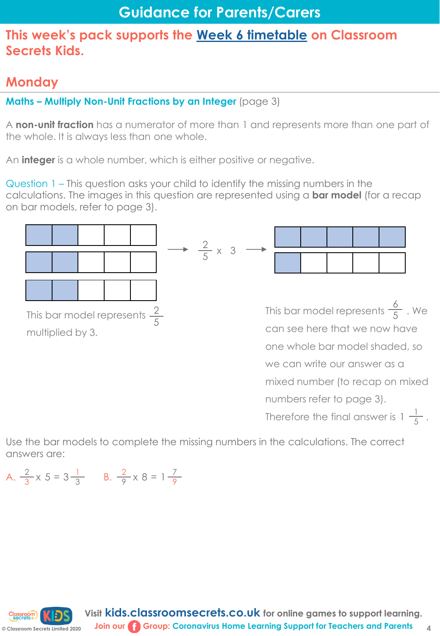# **Monday**

**Maths – Multiply Non-Unit Fractions by an Integer** (page 3)

A **non-unit fraction** has a numerator of more than 1 and represents more than one part of the whole. It is always less than one whole.

An **integer** is a whole number, which is either positive or negative.

Question 1 – This question asks your child to identify the missing numbers in the calculations. The images in this question are represented using a **bar model** (for a recap on bar models, refer to page 3).



Use the bar models to complete the missing numbers in the calculations. The correct answers are:

A.  $\frac{2}{3}$  x 5 = 3 $\frac{1}{3}$  B.  $3 \times 9 - 9$  3  $\frac{2}{9} \times 8 = 1 \frac{7}{9}$ 9 <sup>1</sup> 9 1 9

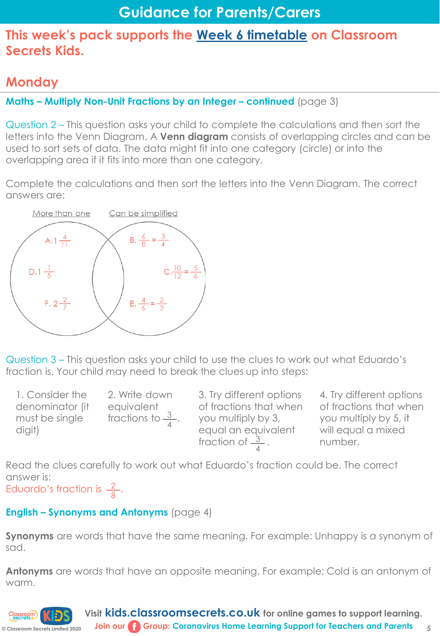# **Monday**

**Maths – Multiply Non-Unit Fractions by an Integer – continued (page 3)** 

Question 2 – This question asks your child to complete the calculations and then sort the letters into the Venn Diagram. A **Venn diagram** consists of overlapping circles and can be used to sort sets of data. The data might fit into one category (circle) or into the overlapping area if it fits into more than one category.

Complete the calculations and then sort the letters into the Venn Diagram. The correct answers are:



Question 3 – This question asks your child to use the clues to work out what Eduardo's fraction is. Your child may need to break the clues up into steps:

1. Consider the denominator (it must be single digit)

2. Write down equivalent fractions to  $\frac{3}{4}$ .

3. Try different options of fractions that when you multiply by 3, equal an equivalent fraction of  $\frac{3}{4}$ .

4. Try different options of fractions that when you multiply by 5, it will equal a mixed number.

**5**

Read the clues carefully to work out what Eduardo's fraction could be. The correct answer is:

Eduardo's fraction is  $\frac{2}{2}$ . 8

## **English – Synonyms and Antonyms** (page 4)

**Synonyms** are words that have the same meaning. For example: Unhappy is a synonym of sad.

**Antonyms** are words that have an opposite meaning. For example: Cold is an antonym of warm.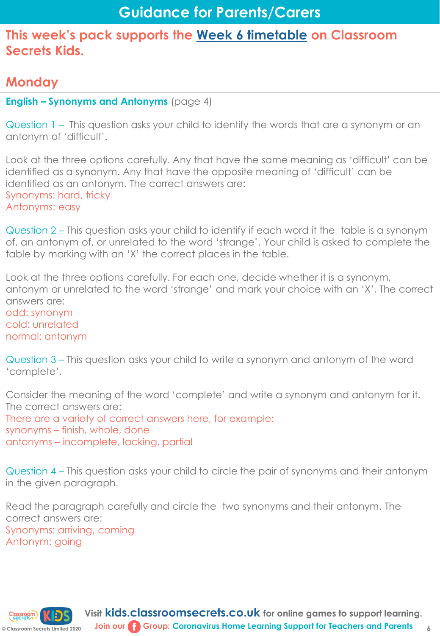# **Monday**

## **English – Synonyms and Antonyms** (page 4)

Question 1 – This question asks your child to identify the words that are a synonym or an antonym of 'difficult'.

Look at the three options carefully. Any that have the same meaning as 'difficult' can be identified as a synonym. Any that have the opposite meaning of 'difficult' can be identified as an antonym. The correct answers are: Synonyms: hard, tricky Antonyms: easy

Question 2 – This question asks your child to identify if each word it the table is a synonym of, an antonym of, or unrelated to the word 'strange'. Your child is asked to complete the table by marking with an 'X' the correct places in the table.

Look at the three options carefully. For each one, decide whether it is a synonym, antonym or unrelated to the word 'strange' and mark your choice with an 'X'. The correct answers are: odd: synonym cold: unrelated normal: antonym

Question 3 – This question asks your child to write a synonym and antonym of the word 'complete'.

Consider the meaning of the word 'complete' and write a synonym and antonym for it. The correct answers are: There are a variety of correct answers here, for example: synonyms – finish, whole, done antonyms – incomplete, lacking, partial

Question 4 – This question asks your child to circle the pair of synonyms and their antonym in the given paragraph.

Read the paragraph carefully and circle the two synonyms and their antonym. The correct answers are: Synonyms: arriving, coming Antonym: going

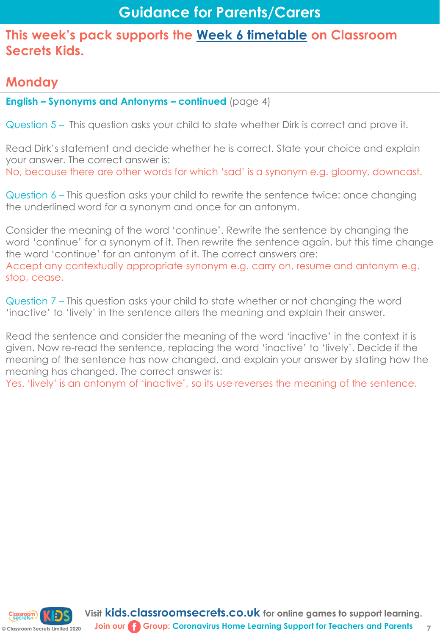# **Monday**

**English – Synonyms and Antonyms – continued** (page 4)

Question 5 – This question asks your child to state whether Dirk is correct and prove it.

Read Dirk's statement and decide whether he is correct. State your choice and explain your answer. The correct answer is: No, because there are other words for which 'sad' is a synonym e.g. gloomy, downcast.

Question 6 – This question asks your child to rewrite the sentence twice: once changing the underlined word for a synonym and once for an antonym.

Consider the meaning of the word 'continue'. Rewrite the sentence by changing the word 'continue' for a synonym of it. Then rewrite the sentence again, but this time change the word 'continue' for an antonym of it. The correct answers are: Accept any contextually appropriate synonym e.g. carry on, resume and antonym e.g. stop, cease.

Question 7 – This question asks your child to state whether or not changing the word 'inactive' to 'lively' in the sentence alters the meaning and explain their answer.

Read the sentence and consider the meaning of the word 'inactive' in the context it is given. Now re-read the sentence, replacing the word 'inactive' to 'lively'. Decide if the meaning of the sentence has now changed, and explain your answer by stating how the meaning has changed. The correct answer is:

Yes. 'lively' is an antonym of 'inactive', so its use reverses the meaning of the sentence.



**7**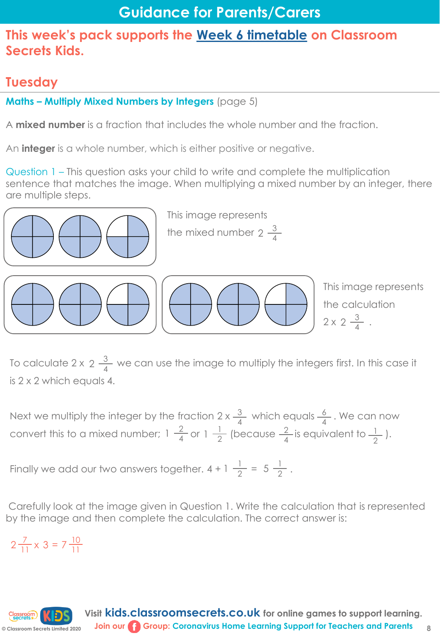# **Tuesday**

**Maths – Multiply Mixed Numbers by Integers** (page 5)

A **mixed number** is a fraction that includes the whole number and the fraction.

An **integer** is a whole number, which is either positive or negative.

Question 1 – This question asks your child to write and complete the multiplication sentence that matches the image. When multiplying a mixed number by an integer, there are multiple steps.



This image represents

the mixed number 2  $\frac{3}{4}$ 4



To calculate 2 x 2  $\frac{3}{4}$  we can use the image to multiply the integers first. In this case it is 2 x 2 which equals 4. 4

Next we multiply the integer by the fraction 2 x  $\frac{3}{4}$  which equals  $\frac{6}{4}$ . We can now convert this to a mixed number;  $1\frac{2}{4}$  or  $1\frac{1}{2}$  (because  $\frac{2}{4}$  is equivalent to  $\frac{1}{6}$ ). 4 6 4  $\frac{2}{4}$  or 1  $\frac{1}{2}$ 2 2 4 1 2

Finally we add our two answers together.  $4 + 1 \frac{1}{2} = 5 \frac{1}{2}$ .  $1\frac{1}{2} = 5\frac{1}{2}$ 2

Carefully look at the image given in Question 1. Write the calculation that is represented by the image and then complete the calculation. The correct answer is:

 $2\frac{7}{11} \times 3 = 7\frac{10}{11}$  $11^{\circ}$  11

**© Classroom Secrets Limited 2020**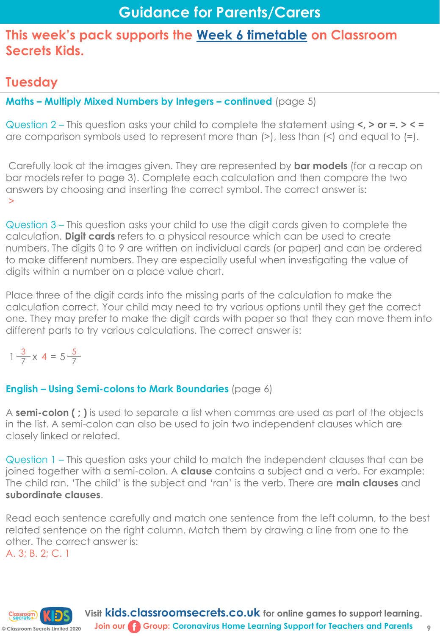# **Tuesday**

## **Maths – Multiply Mixed Numbers by Integers – continued** (page 5)

Question 2 – This question asks your child to complete the statement using **<, > or =. > < =**  are comparison symbols used to represent more than (>), less than (<) and equal to (=).

Carefully look at the images given. They are represented by **bar models** (for a recap on bar models refer to page 3). Complete each calculation and then compare the two answers by choosing and inserting the correct symbol. The correct answer is: >

Question 3 – This question asks your child to use the digit cards given to complete the calculation. **Digit cards** refers to a physical resource which can be used to create numbers. The digits 0 to 9 are written on individual cards (or paper) and can be ordered to make different numbers. They are especially useful when investigating the value of digits within a number on a place value chart.

Place three of the digit cards into the missing parts of the calculation to make the calculation correct. Your child may need to try various options until they get the correct one. They may prefer to make the digit cards with paper so that they can move them into different parts to try various calculations. The correct answer is:

$$
1\frac{3}{7} \times 4 = 5\frac{5}{7}
$$

## **English – Using Semi-colons to Mark Boundaries** (page 6)

A **semi-colon ( ; )** is used to separate a list when commas are used as part of the objects in the list. A semi-colon can also be used to join two independent clauses which are closely linked or related.

Question 1 – This question asks your child to match the independent clauses that can be joined together with a semi-colon. A **clause** contains a subject and a verb. For example: The child ran. 'The child' is the subject and 'ran' is the verb. There are **main clauses** and **subordinate clauses**.

Read each sentence carefully and match one sentence from the left column, to the best related sentence on the right column. Match them by drawing a line from one to the other. The correct answer is: A. 3; B. 2; C. 1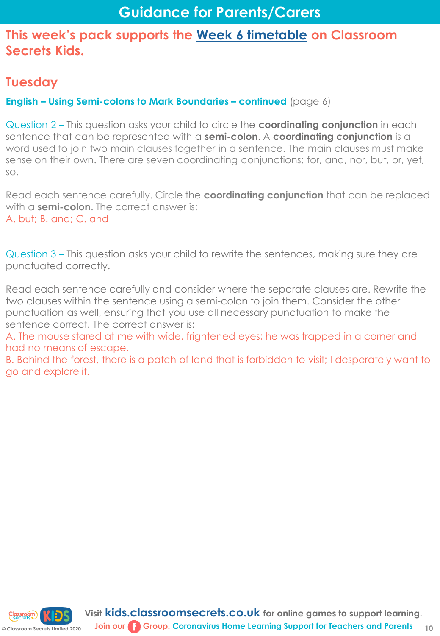## **Tuesday**

**English – Using Semi-colons to Mark Boundaries – continued** (page 6)

Question 2 – This question asks your child to circle the **coordinating conjunction** in each sentence that can be represented with a **semi-colon**. A **coordinating conjunction** is a word used to join two main clauses together in a sentence. The main clauses must make sense on their own. There are seven coordinating conjunctions: for, and, nor, but, or, yet, so.

Read each sentence carefully. Circle the **coordinating conjunction** that can be replaced with a **semi-colon**. The correct answer is: A. but; B. and; C. and

Question 3 – This question asks your child to rewrite the sentences, making sure they are punctuated correctly.

Read each sentence carefully and consider where the separate clauses are. Rewrite the two clauses within the sentence using a semi-colon to join them. Consider the other punctuation as well, ensuring that you use all necessary punctuation to make the sentence correct. The correct answer is:

A. The mouse stared at me with wide, frightened eyes; he was trapped in a corner and had no means of escape.

B. Behind the forest, there is a patch of land that is forbidden to visit; I desperately want to go and explore it.

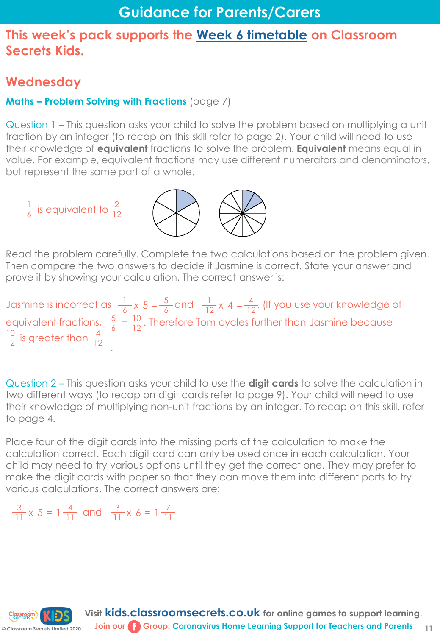## **Wednesday**

## **Maths – Problem Solving with Fractions** (page 7)

Question 1 – This question asks your child to solve the problem based on multiplying a unit fraction by an integer (to recap on this skill refer to page 2). Your child will need to use their knowledge of **equivalent** fractions to solve the problem. **Equivalent** means equal in value. For example, equivalent fractions may use different numerators and denominators, but represent the same part of a whole.



Read the problem carefully. Complete the two calculations based on the problem given. Then compare the two answers to decide if Jasmine is correct. State your answer and prove it by showing your calculation. The correct answer is:

Jasmine is incorrect as  $\frac{1}{4}$  x 5 =  $\frac{5}{4}$  and  $\frac{1}{12}$  x 4 =  $\frac{4}{12}$ . (If you use your knowledge of equivalent fractions,  $\frac{5}{4} = \frac{10}{12}$ . Therefore Tom cycles further than Jasmine because .  $6 \times 9 = 6$  $\frac{1}{12}$  x 4 =  $\frac{4}{16}$  $12 \wedge 7 = 12$  $\frac{10}{12}$  is greater than  $\frac{4}{12}$ 

Question 2 – This question asks your child to use the **digit cards** to solve the calculation in two different ways (to recap on digit cards refer to page 9). Your child will need to use their knowledge of multiplying non-unit fractions by an integer. To recap on this skill, refer to page 4.

Place four of the digit cards into the missing parts of the calculation to make the calculation correct. Each digit card can only be used once in each calculation. Your child may need to try various options until they get the correct one. They may prefer to make the digit cards with paper so that they can move them into different parts to try various calculations. The correct answers are:

 $\frac{3}{11}$  x 5 = 1  $\frac{4}{11}$  and  $11 - 11$  $\frac{3}{11}$  x 6 = 1 $\frac{7}{11}$  $11 - 0 - 11$ 

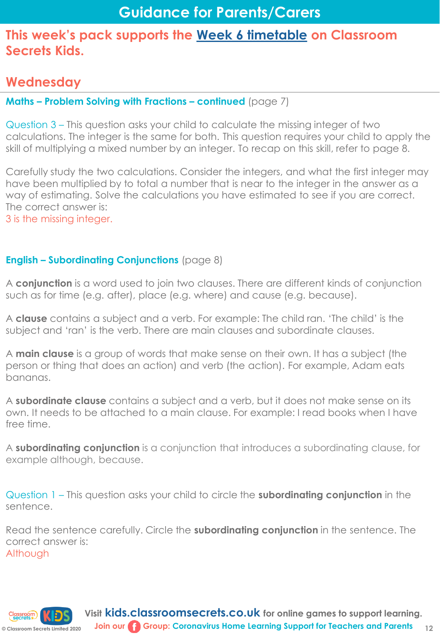## **Wednesday**

#### **Maths – Problem Solving with Fractions – continued** (page 7)

Question 3 – This question asks your child to calculate the missing integer of two calculations. The integer is the same for both. This question requires your child to apply the skill of multiplying a mixed number by an integer. To recap on this skill, refer to page 8.

Carefully study the two calculations. Consider the integers, and what the first integer may have been multiplied by to total a number that is near to the integer in the answer as a way of estimating. Solve the calculations you have estimated to see if you are correct. The correct answer is:

3 is the missing integer.

#### **English – Subordinating Conjunctions** (page 8)

A **conjunction** is a word used to join two clauses. There are different kinds of conjunction such as for time (e.g. after), place (e.g. where) and cause (e.g. because).

A **clause** contains a subject and a verb. For example: The child ran. 'The child' is the subject and 'ran' is the verb. There are main clauses and subordinate clauses.

A **main clause** is a group of words that make sense on their own. It has a subject (the person or thing that does an action) and verb (the action). For example, Adam eats bananas.

A **subordinate clause** contains a subject and a verb, but it does not make sense on its own. It needs to be attached to a main clause. For example: I read books when I have free time.

A **subordinating conjunction** is a conjunction that introduces a subordinating clause, for example although, because.

Question 1 – This question asks your child to circle the **subordinating conjunction** in the sentence.

Read the sentence carefully. Circle the **subordinating conjunction** in the sentence. The correct answer is: Although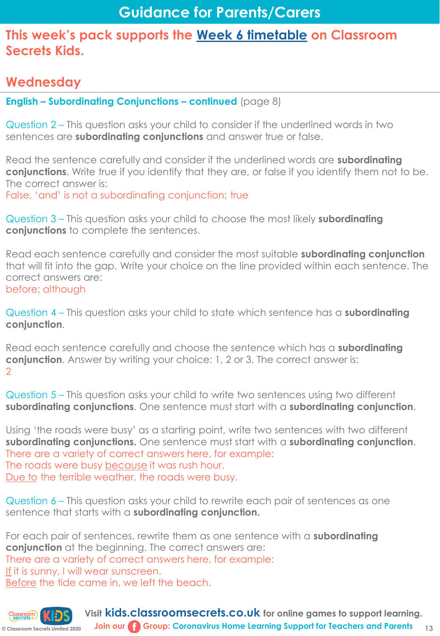## **Wednesday**

**English – Subordinating Conjunctions – continued** (page 8)

Question 2 – This question asks your child to consider if the underlined words in two sentences are **subordinating conjunctions** and answer true or false.

Read the sentence carefully and consider if the underlined words are **subordinating conjunctions**. Write true if you identify that they are, or false if you identify them not to be. The correct answer is:

False, 'and' is not a subordinating conjunction; true

Question 3 – This question asks your child to choose the most likely **subordinating conjunctions** to complete the sentences.

Read each sentence carefully and consider the most suitable **subordinating conjunction**  that will fit into the gap. Write your choice on the line provided within each sentence. The correct answers are: before; although

Question 4 – This question asks your child to state which sentence has a **subordinating conjunction**.

Read each sentence carefully and choose the sentence which has a **subordinating conjunction**. Answer by writing your choice: 1, 2 or 3. The correct answer is: 2

Question 5 – This question asks your child to write two sentences using two different **subordinating conjunctions**. One sentence must start with a **subordinating conjunction**.

Using 'the roads were busy' as a starting point, write two sentences with two different **subordinating conjunctions.** One sentence must start with a **subordinating conjunction**. There are a variety of correct answers here, for example: The roads were busy because it was rush hour. Due to the terrible weather, the roads were busy.

Question 6 – This question asks your child to rewrite each pair of sentences as one sentence that starts with a **subordinating conjunction.** 

For each pair of sentences, rewrite them as one sentence with a **subordinating conjunction** at the beginning. The correct answers are: There are a variety of correct answers here, for example: If it is sunny, I will wear sunscreen. Before the tide came in, we left the beach.

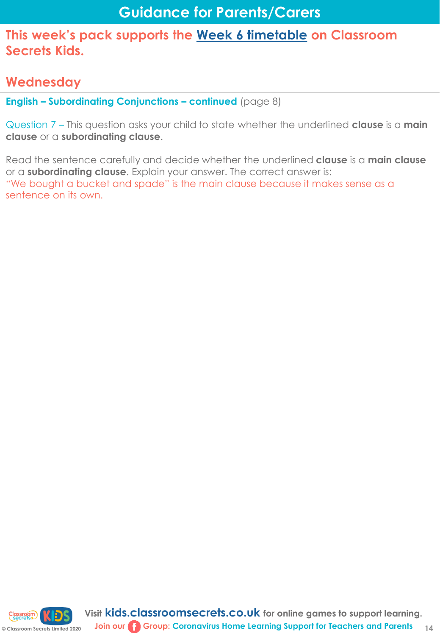## **Wednesday**

**English – Subordinating Conjunctions – continued** (page 8)

Question 7 – This question asks your child to state whether the underlined **clause** is a **main clause** or a **subordinating clause**.

Read the sentence carefully and decide whether the underlined **clause** is a **main clause**  or a **subordinating clause**. Explain your answer. The correct answer is: "We bought a bucket and spade" is the main clause because it makes sense as a sentence on its own.

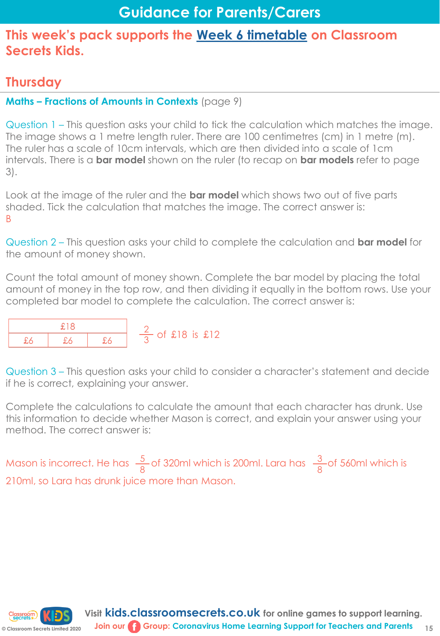## **Thursday**

## **Maths – Fractions of Amounts in Contexts** (page 9)

Question 1 – This question asks your child to tick the calculation which matches the image. The image shows a 1 metre length ruler. There are 100 centimetres (cm) in 1 metre (m). The ruler has a scale of 10cm intervals, which are then divided into a scale of 1cm intervals. There is a **bar model** shown on the ruler (to recap on **bar models** refer to page 3).

Look at the image of the ruler and the **bar model** which shows two out of five parts shaded. Tick the calculation that matches the image. The correct answer is: B

Question 2 – This question asks your child to complete the calculation and **bar model** for the amount of money shown.

Count the total amount of money shown. Complete the bar model by placing the total amount of money in the top row, and then dividing it equally in the bottom rows. Use your completed bar model to complete the calculation. The correct answer is:



Question 3 – This question asks your child to consider a character's statement and decide if he is correct, explaining your answer.

Complete the calculations to calculate the amount that each character has drunk. Use this information to decide whether Mason is correct, and explain your answer using your method. The correct answer is:

Mason is incorrect. He has  $\frac{5}{6}$  of 320ml which is 200ml. Lara has  $\frac{3}{6}$  of 560ml which is 210ml, so Lara has drunk juice more than Mason. 8 3 8

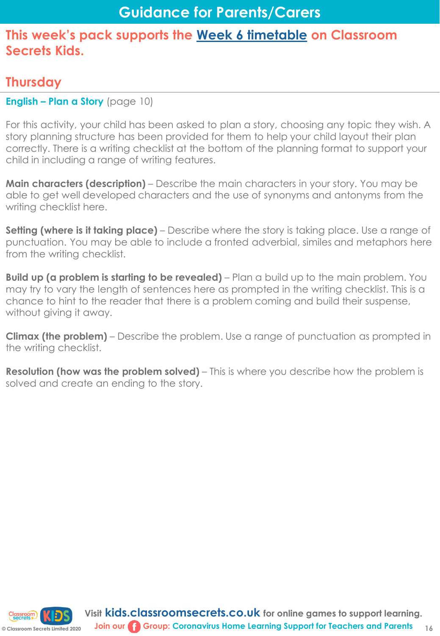## **Thursday**

**English – Plan a Story** (page 10)

For this activity, your child has been asked to plan a story, choosing any topic they wish. A story planning structure has been provided for them to help your child layout their plan correctly. There is a writing checklist at the bottom of the planning format to support your child in including a range of writing features.

**Main characters (description)** – Describe the main characters in your story. You may be able to get well developed characters and the use of synonyms and antonyms from the writing checklist here.

**Setting (where is it taking place)** – Describe where the story is taking place. Use a range of punctuation. You may be able to include a fronted adverbial, similes and metaphors here from the writing checklist.

**Build up (a problem is starting to be revealed)** – Plan a build up to the main problem. You may try to vary the length of sentences here as prompted in the writing checklist. This is a chance to hint to the reader that there is a problem coming and build their suspense, without giving it away.

**Climax (the problem)** – Describe the problem. Use a range of punctuation as prompted in the writing checklist.

**Resolution (how was the problem solved)** – This is where you describe how the problem is solved and create an ending to the story.

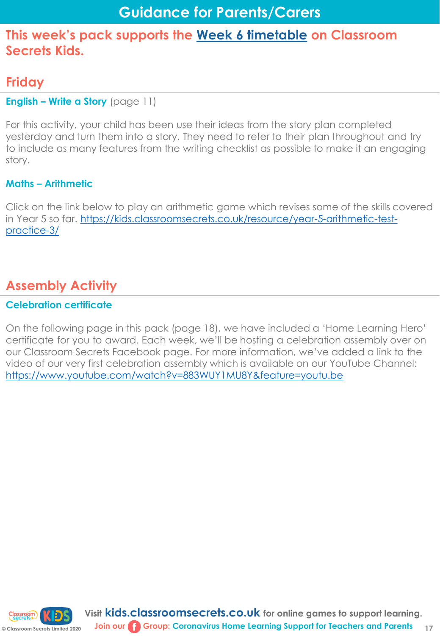## **Friday**

#### **English – Write a Story** (page 11)

For this activity, your child has been use their ideas from the story plan completed yesterday and turn them into a story. They need to refer to their plan throughout and try to include as many features from the writing checklist as possible to make it an engaging story.

#### **Maths – Arithmetic**

Click on the link below to play an arithmetic game which revises some of the skills covered [in Year 5 so far. https://kids.classroomsecrets.co.uk/resource/year-5-arithmetic-test](https://kids.classroomsecrets.co.uk/resource/year-5-arithmetic-test-practice-3/)practice-3/

# **Assembly Activity**

#### **Celebration certificate**

On the following page in this pack (page 18), we have included a 'Home Learning Hero' certificate for you to award. Each week, we'll be hosting a celebration assembly over on our Classroom Secrets Facebook page. For more information, we've added a link to the video of our very first celebration assembly which is available on our YouTube Channel: <https://www.youtube.com/watch?v=883WUY1MU8Y&feature=youtu.be>

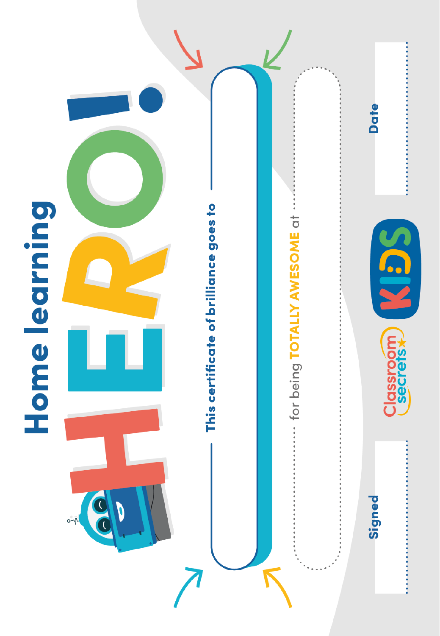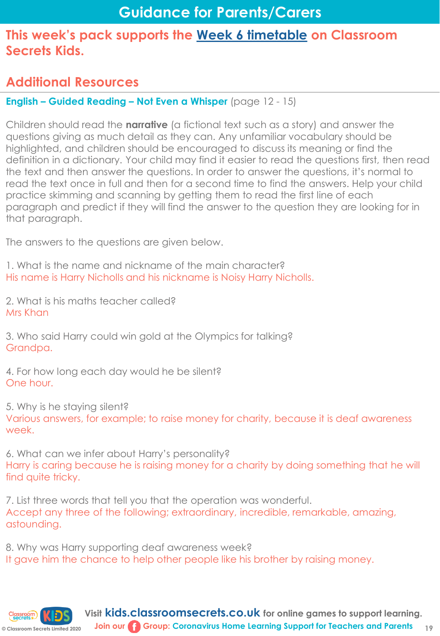## **Additional Resources**

## **English – Guided Reading – Not Even a Whisper** (page 12 - 15)

Children should read the **narrative** (a fictional text such as a story) and answer the questions giving as much detail as they can. Any unfamiliar vocabulary should be highlighted, and children should be encouraged to discuss its meaning or find the definition in a dictionary. Your child may find it easier to read the questions first, then read the text and then answer the questions. In order to answer the questions, it's normal to read the text once in full and then for a second time to find the answers. Help your child practice skimming and scanning by getting them to read the first line of each paragraph and predict if they will find the answer to the question they are looking for in that paragraph.

The answers to the questions are given below.

1. What is the name and nickname of the main character? His name is Harry Nicholls and his nickname is Noisy Harry Nicholls.

2. What is his maths teacher called? Mrs Khan

3. Who said Harry could win gold at the Olympics for talking? Grandpa.

4. For how long each day would he be silent? One hour.

5. Why is he staying silent?

Various answers, for example; to raise money for charity, because it is deaf awareness week.

6. What can we infer about Harry's personality? Harry is caring because he is raising money for a charity by doing something that he will find quite tricky.

7. List three words that tell you that the operation was wonderful. Accept any three of the following; extraordinary, incredible, remarkable, amazing, astounding.

8. Why was Harry supporting deaf awareness week? It gave him the chance to help other people like his brother by raising money.